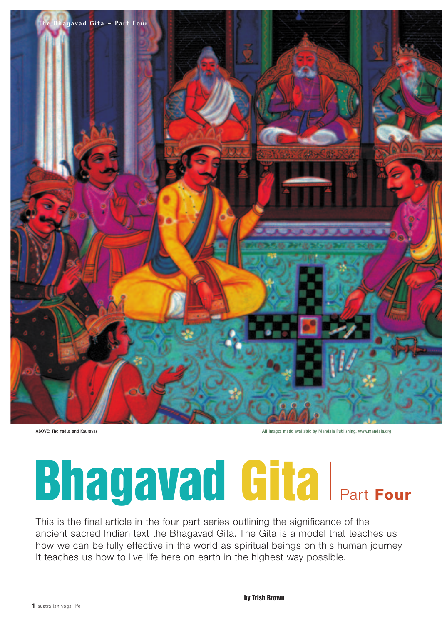

**ABOVE: The Yadus and Kauravas All images made available by Mandala Publishing. www.mandala.org**

# **Bhagavad Gita** Part Four

This is the final article in the four part series outlining the significance of the ancient sacred Indian text the Bhagavad Gita. The Gita is a model that teaches us how we can be fully effective in the world as spiritual beings on this human journey. It teaches us how to live life here on earth in the highest way possible.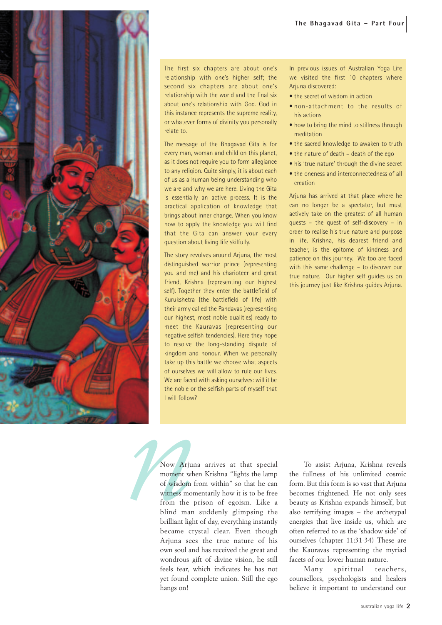

The first six chapters are about one's relationship with one's higher self; the second six chapters are about one's relationship with the world and the final six about one's relationship with God. God in this instance represents the supreme reality, or whatever forms of divinity you personally relate to.

The message of the Bhagavad Gita is for every man, woman and child on this planet, as it does not require you to form allegiance to any religion. Quite simply, it is about each of us as a human being understanding who we are and why we are here. Living the Gita is essentially an active process. It is the practical application of knowledge that brings about inner change. When you know how to apply the knowledge you will find that the Gita can answer your every question about living life skilfully.

The story revolves around Arjuna, the most distinguished warrior prince (representing you and me) and his charioteer and great friend, Krishna (representing our highest self). Together they enter the battlefield of Kurukshetra (the battlefield of life) with their army called the Pandavas (representing our highest, most noble qualities) ready to meet the Kauravas (representing our negative selfish tendencies). Here they hope to resolve the long-standing dispute of kingdom and honour. When we personally take up this battle we choose what aspects of ourselves we will allow to rule our lives. We are faced with asking ourselves: will it be the noble or the selfish parts of myself that I will follow?

In previous issues of Australian Yoga Life we visited the first 10 chapters where Arjuna discovered:

- the secret of wisdom in action
- non-attachment to the results of his actions
- how to bring the mind to stillness through meditation
- the sacred knowledge to awaken to truth
- the nature of death death of the ego
- his 'true nature' through the divine secret
- the oneness and interconnectedness of all creation

Arjuna has arrived at that place where he can no longer be a spectator, but must actively take on the greatest of all human quests – the quest of self-discovery – in order to realise his true nature and purpose in life. Krishna, his dearest friend and teacher, is the epitome of kindness and patience on this journey. We too are faced with this same challenge – to discover our true nature. Our higher self guides us on this journey just like Krishna guides Arjuna.

**1** will follow?<br>
Now Arjun<br>
moment whe<br>
of wisdom fi<br>
witness mom<br>
from the p<br>
blind man<br>
brilliant light Now Arjuna arrives at that special moment when Krishna "lights the lamp of wisdom from within" so that he can witness momentarily how it is to be free from the prison of egoism. Like a blind man suddenly glimpsing the brilliant light of day, everything instantly became crystal clear. Even though Arjuna sees the true nature of his own soul and has received the great and wondrous gift of divine vision, he still feels fear, which indicates he has not yet found complete union. Still the ego hangs on!

To assist Arjuna, Krishna reveals the fullness of his unlimited cosmic form. But this form is so vast that Arjuna becomes frightened. He not only sees beauty as Krishna expands himself, but also terrifying images – the archetypal energies that live inside us, which are often referred to as the 'shadow side' of ourselves (chapter 11:31-34) These are the Kauravas representing the myriad facets of our lower human nature.

Many spiritual teachers, counsellors, psychologists and healers believe it important to understand our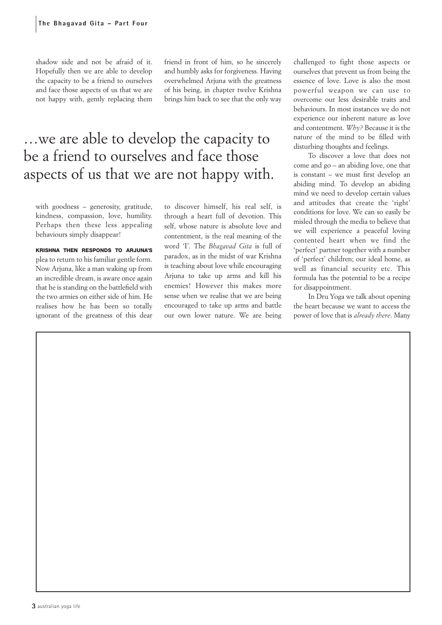shadow side and not be afraid of it. Hopefully then we are able to develop the capacity to be a friend to ourselves and face those aspects of us that we are not happy with, gently replacing them friend in front of him, so he sincerely and humbly asks for forgiveness. Having overwhelmed Arjuna with the greatness of his being, in chapter twelve Krishna brings him back to see that the only way

## …we are able to develop the capacity to be a friend to ourselves and face those aspects of us that we are not happy with.

with goodness – generosity, gratitude, kindness, compassion, love, humility. Perhaps then these less appealing behaviours simply disappear!

**KRISHNA THEN RESPONDS TO ARJUNA'S** plea to return to his familiar gentle form. Now Arjuna, like a man waking up from an incredible dream, is aware once again that he is standing on the battlefield with the two armies on either side of him. He realises how he has been so totally ignorant of the greatness of this dear

to discover himself, his real self, is through a heart full of devotion. This self, whose nature is absolute love and contentment, is the real meaning of the word 'I'. The *Bhagavad Gita* is full of paradox, as in the midst of war Krishna is teaching about love while encouraging Arjuna to take up arms and kill his enemies! However this makes more sense when we realise that we are being encouraged to take up arms and battle our own lower nature. We are being

challenged to fight those aspects or ourselves that prevent us from being the essence of love. Love is also the most powerful weapon we can use to overcome our less desirable traits and behaviours. In most instances we do not experience our inherent nature as love and contentment. *Why?* Because it is the nature of the mind to be filled with disturbing thoughts and feelings.

To discover a love that does not come and go – an abiding love, one that is constant – we must first develop an abiding mind. To develop an abiding mind we need to develop certain values and attitudes that create the 'right' conditions for love. We can so easily be misled through the media to believe that we will experience a peaceful loving contented heart when we find the 'perfect' partner together with a number of 'perfect' children; our ideal home, as well as financial security etc. This formula has the potential to be a recipe for disappointment.

In Dru Yoga we talk about opening the heart because we want to access the power of love that is *already there*. Many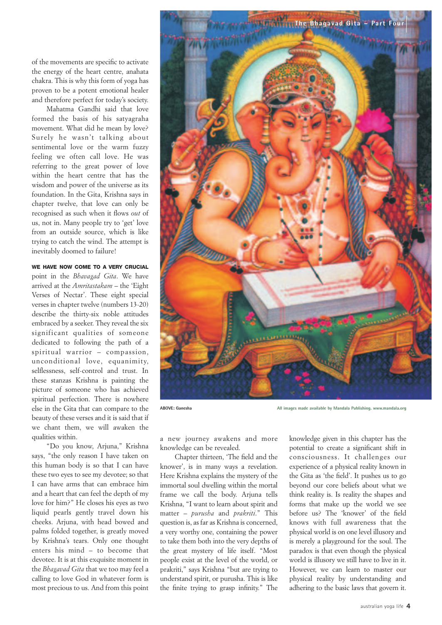of the movements are specific to activate the energy of the heart centre, anahata chakra. This is why this form of yoga has proven to be a potent emotional healer and therefore perfect for today's society.

Mahatma Gandhi said that love formed the basis of his satyagraha movement. What did he mean by love? Surely he wasn't talking about sentimental love or the warm fuzzy feeling we often call love. He was referring to the great power of love within the heart centre that has the wisdom and power of the universe as its foundation. In the Gita, Krishna says in chapter twelve, that love can only be recognised as such when it flows *out* of us, not in. Many people try to 'get' love from an outside source, which is like trying to catch the wind. The attempt is inevitably doomed to failure!

#### **WE HAVE NOW COME TO A VERY CRUCIAL**

point in the *Bhavagad Gita*. We have arrived at the *Amritastakam* – the 'Eight Verses of Nectar'. These eight special verses in chapter twelve (numbers 13-20) describe the thirty-six noble attitudes embraced by a seeker. They reveal the six significant qualities of someone dedicated to following the path of a spiritual warrior – compassion, unconditional love, equanimity, selflessness, self-control and trust. In these stanzas Krishna is painting the picture of someone who has achieved spiritual perfection. There is nowhere else in the Gita that can compare to the beauty of these verses and it is said that if we chant them, we will awaken the qualities within.

"Do you know, Arjuna," Krishna says, "the only reason I have taken on this human body is so that I can have these two eyes to see my devotee; so that I can have arms that can embrace him and a heart that can feel the depth of my love for him?" He closes his eyes as two liquid pearls gently travel down his cheeks. Arjuna, with head bowed and palms folded together, is greatly moved by Krishna's tears. Only one thought enters his mind – to become that devotee. It is at this exquisite moment in the *Bhagavad Gita* that we too may feel a calling to love God in whatever form is most precious to us. And from this point



**ABOVE: Ganesha All images made available by Mandala Publishing. www.mandala.org**

a new journey awakens and more knowledge can be revealed.

Chapter thirteen, 'The field and the knower', is in many ways a revelation. Here Krishna explains the mystery of the immortal soul dwelling within the mortal frame we call the body. Arjuna tells Krishna, "I want to learn about spirit and matter – *purusha* and *prakriti*." This question is, as far as Krishna is concerned, a very worthy one, containing the power to take them both into the very depths of the great mystery of life itself. "Most people exist at the level of the world, or prakriti," says Krishna "but are trying to understand spirit, or purusha. This is like the finite trying to grasp infinity." The knowledge given in this chapter has the potential to create a significant shift in consciousness. It challenges our experience of a physical reality known in the Gita as 'the field'. It pushes us to go beyond our core beliefs about what we think reality is. Is reality the shapes and forms that make up the world we see before us? The 'knower' of the field knows with full awareness that the physical world is on one level illusory and is merely a playground for the soul. The paradox is that even though the physical world is illusory we still have to live in it. However, we can learn to master our physical reality by understanding and adhering to the basic laws that govern it.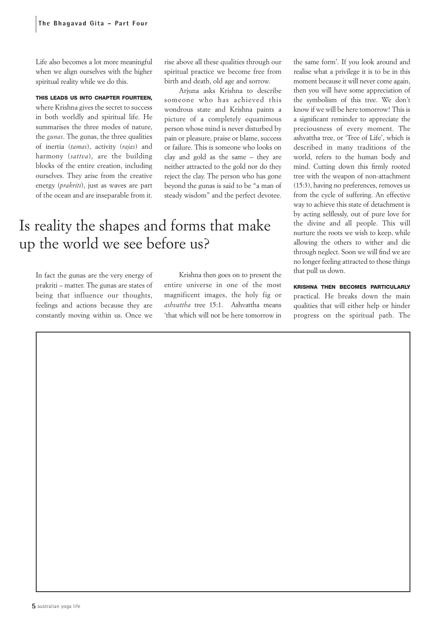Life also becomes a lot more meaningful when we align ourselves with the higher spiritual reality while we do this.

#### **THIS LEADS US INTO CHAPTER FOURTEEN,**

where Krishna gives the secret to success in both worldly and spiritual life. He summarises the three modes of nature, the *gunas*. The gunas, the three qualities of inertia (*tamas*), activity (*rajas*) and harmony (*sattva*), are the building blocks of the entire creation, including ourselves. They arise from the creative energy (*prakriti*), just as waves are part of the ocean and are inseparable from it.

rise above all these qualities through our spiritual practice we become free from birth and death, old age and sorrow.

Arjuna asks Krishna to describe someone who has achieved this wondrous state and Krishna paints a picture of a completely equanimous person whose mind is never disturbed by pain or pleasure, praise or blame, success or failure. This is someone who looks on clay and gold as the same – they are neither attracted to the gold nor do they reject the clay. The person who has gone beyond the gunas is said to be "a man of steady wisdom" and the perfect devotee.

## Is reality the shapes and forms that make up the world we see before us?

In fact the gunas are the very energy of prakriti – matter. The gunas are states of being that influence our thoughts, feelings and actions because they are constantly moving within us. Once we

Krishna then goes on to present the entire universe in one of the most magnificent images, the holy fig or *ashvattha* tree 15:1. Ashvattha means 'that which will not be here tomorrow in the same form'. If you look around and realise what a privilege it is to be in this moment because it will never come again, then you will have some appreciation of the symbolism of this tree. We don't know if we will be here tomorrow! This is a significant reminder to appreciate the preciousness of every moment. The ashvattha tree, or 'Tree of Life', which is described in many traditions of the world, refers to the human body and mind. Cutting down this firmly rooted tree with the weapon of non-attachment (15:3), having no preferences, removes us from the cycle of suffering. An effective way to achieve this state of detachment is by acting selflessly, out of pure love for the divine and all people. This will nurture the roots we wish to keep, while allowing the others to wither and die through neglect. Soon we will find we are no longer feeling attracted to those things that pull us down.

**KRISHNA THEN BECOMES PARTICULARLY** practical. He breaks down the main qualities that will either help or hinder progress on the spiritual path. The